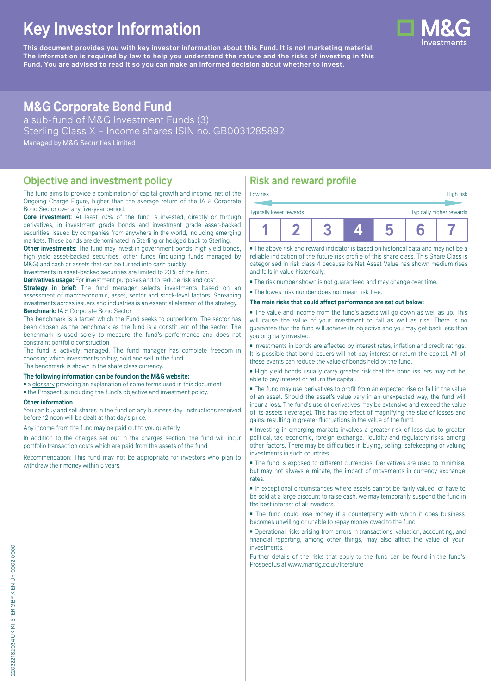# **Key Investor Information**

**This document provides you with key investor information about this Fund. It is not marketing material.** The information is required by law to help you understand the nature and the risks of investing in this **Fund. You are advised to read it so you can make an informed decision about whether to invest.**

## **M&G Corporate Bond Fund**

a sub-fund of M&G Investment Funds (3) Sterling Class X – Income shares ISIN no. GB0031285892 Managed by M&G Securities Limited

### **Objective and investment policy**

The fund aims to provide a combination of capital growth and income, net of the Ongoing Charge Figure, higher than the average return of the IA £ Corporate Bond Sector over any five-year period.

**Core investment**: At least 70% of the fund is invested, directly or through derivatives, in investment grade bonds and investment grade asset-backed securities, issued by companies from anywhere in the world, including emerging markets. These bonds are denominated in Sterling or hedged back to Sterling.

**Other investments**: The fund may invest in government bonds, high yield bonds, high yield asset-backed securities, other funds (including funds managed by M&G) and cash or assets that can be turned into cash quickly.

Investments in asset-backed securities are limited to 20% of the fund.

**Derivatives usage:** For investment purposes and to reduce risk and cost.

**Strategy in brief:** The fund manager selects investments based on an assessment of macroeconomic, asset, sector and stock-level factors. Spreading investments across issuers and industries is an essential element of the strategy. **Benchmark:** IA £ Corporate Bond Sector

The benchmark is a target which the Fund seeks to outperform. The sector has been chosen as the benchmark as the fund is a constituent of the sector. The benchmark is used solely to measure the fund's performance and does not constraint portfolio construction.

The fund is actively managed. The fund manager has complete freedom in choosing which investments to buy, hold and sell in the fund. The benchmark is shown in the share class currency.

### **The following information can be found on the M&G website:**

■ [a glossary](https://docs.mandg.com/docs/glossary-master-en.pdf) providing an explanation of some terms used in this document

■ the Prospectus including the fund's objective and investment policy.

#### **Other information**

You can buy and sell shares in the fund on any business day. Instructions received before 12 noon will be dealt at that day's price.

Any income from the fund may be paid out to you quarterly.

In addition to the charges set out in the charges section, the fund will incur portfolio transaction costs which are paid from the assets of the fund.

Recommendation: This fund may not be appropriate for investors who plan to withdraw their money within 5 years.

### **Risk and reward profile**

| Typically lower rewards |  |  | Typically higher rewards |
|-------------------------|--|--|--------------------------|
|                         |  |  |                          |

■ The above risk and reward indicator is based on historical data and may not be a reliable indication of the future risk profile of this share class. This Share Class is categorised in risk class 4 because its Net Asset Value has shown medium rises and falls in value historically.

■ The risk number shown is not guaranteed and may change over time.

■ The lowest risk number does not mean risk free.

#### **The main risks that could affect performance are set out below:**

■ The value and income from the fund's assets will go down as well as up. This will cause the value of your investment to fall as well as rise. There is no guarantee that the fund will achieve its objective and you may get back less than you originally invested.

■ Investments in bonds are affected by interest rates, inflation and credit ratings. It is possible that bond issuers will not pay interest or return the capital. All of these events can reduce the value of bonds held by the fund.

■ High yield bonds usually carry greater risk that the bond issuers may not be able to pay interest or return the capital.

■ The fund may use derivatives to profit from an expected rise or fall in the value of an asset. Should the asset's value vary in an unexpected way, the fund will incur a loss. The fund's use of derivatives may be extensive and exceed the value of its assets (leverage). This has the effect of magnifying the size of losses and gains, resulting in greater fluctuations in the value of the fund.

■ Investing in emerging markets involves a greater risk of loss due to greater political, tax, economic, foreign exchange, liquidity and regulatory risks, among other factors. There may be difficulties in buying, selling, safekeeping or valuing investments in such countries.

■ The fund is exposed to different currencies. Derivatives are used to minimise, but may not always eliminate, the impact of movements in currency exchange rates.

■ In exceptional circumstances where assets cannot be fairly valued, or have to be sold at a large discount to raise cash, we may temporarily suspend the fund in the best interest of all investors.

■ The fund could lose money if a counterparty with which it does business becomes unwilling or unable to repay money owed to the fund.

■ Operational risks arising from errors in transactions, valuation, accounting, and financial reporting, among other things, may also affect the value of your investments.

Further details of the risks that apply to the fund can be found in the fund's Prospectus at [www.mandg.co.uk/literature](http://www.mandg.co.uk/literature)